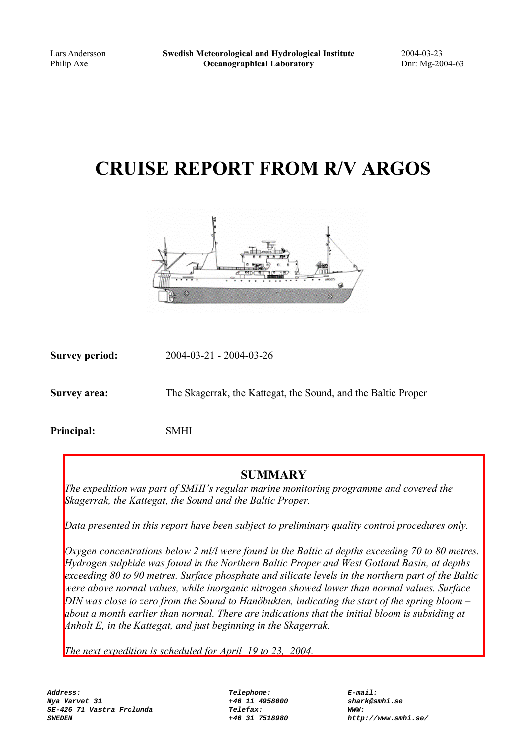# **CRUISE REPORT FROM R/V ARGOS**



**Survey period:** 2004-03-21 - 2004-03-26

**Survey area:** The Skagerrak, the Kattegat, the Sound, and the Baltic Proper

**Principal:** SMHI

#### **SUMMARY**

*The expedition was part of SMHI's regular marine monitoring programme and covered the Skagerrak, the Kattegat, the Sound and the Baltic Proper.*

*Data presented in this report have been subject to preliminary quality control procedures only.*

*Oxygen concentrations below 2 ml/l were found in the Baltic at depths exceeding 70 to 80 metres. Hydrogen sulphide was found in the Northern Baltic Proper and West Gotland Basin, at depths exceeding 80 to 90 metres. Surface phosphate and silicate levels in the northern part of the Baltic were above normal values, while inorganic nitrogen showed lower than normal values. Surface DIN was close to zero from the Sound to Hanöbukten, indicating the start of the spring bloom – about a month earlier than normal. There are indications that the initial bloom is subsiding at Anholt E, in the Kattegat, and just beginning in the Skagerrak.*

*The next expedition is scheduled for April 19 to 23, 2004.*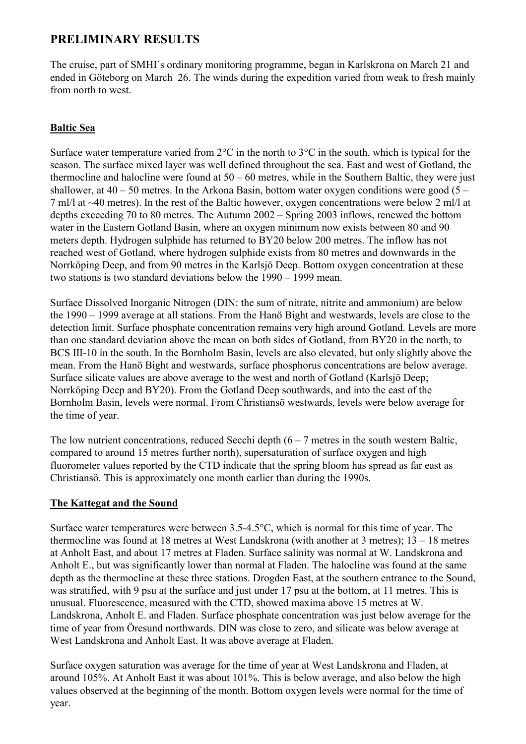### **PRELIMINARY RESULTS**

The cruise, part of SMHI´s ordinary monitoring programme, began in Karlskrona on March 21 and ended in Göteborg on March 26. The winds during the expedition varied from weak to fresh mainly from north to west.

#### **Baltic Sea**

Surface water temperature varied from  $2^{\circ}$ C in the north to  $3^{\circ}$ C in the south, which is typical for the season. The surface mixed layer was well defined throughout the sea. East and west of Gotland, the thermocline and halocline were found at 50 – 60 metres, while in the Southern Baltic, they were just shallower, at  $40 - 50$  metres. In the Arkona Basin, bottom water oxygen conditions were good  $(5 -$ 7 ml/l at ~40 metres). In the rest of the Baltic however, oxygen concentrations were below 2 ml/l at depths exceeding 70 to 80 metres. The Autumn 2002 – Spring 2003 inflows, renewed the bottom water in the Eastern Gotland Basin, where an oxygen minimum now exists between 80 and 90 meters depth. Hydrogen sulphide has returned to BY20 below 200 metres. The inflow has not reached west of Gotland, where hydrogen sulphide exists from 80 metres and downwards in the Norrköping Deep, and from 90 metres in the Karlsjö Deep. Bottom oxygen concentration at these two stations is two standard deviations below the 1990 – 1999 mean.

Surface Dissolved Inorganic Nitrogen (DIN: the sum of nitrate, nitrite and ammonium) are below the 1990 – 1999 average at all stations. From the Hanö Bight and westwards, levels are close to the detection limit. Surface phosphate concentration remains very high around Gotland. Levels are more than one standard deviation above the mean on both sides of Gotland, from BY20 in the north, to BCS III-10 in the south. In the Bornholm Basin, levels are also elevated, but only slightly above the mean. From the Hanö Bight and westwards, surface phosphorus concentrations are below average. Surface silicate values are above average to the west and north of Gotland (Karlsjö Deep; Norrköping Deep and BY20). From the Gotland Deep southwards, and into the east of the Bornholm Basin, levels were normal. From Christiansö westwards, levels were below average for the time of year.

The low nutrient concentrations, reduced Secchi depth  $(6 - 7)$  metres in the south western Baltic, compared to around 15 metres further north), supersaturation of surface oxygen and high fluorometer values reported by the CTD indicate that the spring bloom has spread as far east as Christiansö. This is approximately one month earlier than during the 1990s.

#### **The Kattegat and the Sound**

Surface water temperatures were between 3.5-4.5°C, which is normal for this time of year. The thermocline was found at 18 metres at West Landskrona (with another at 3 metres); 13 – 18 metres at Anholt East, and about 17 metres at Fladen. Surface salinity was normal at W. Landskrona and Anholt E., but was significantly lower than normal at Fladen. The halocline was found at the same depth as the thermocline at these three stations. Drogden East, at the southern entrance to the Sound, was stratified, with 9 psu at the surface and just under 17 psu at the bottom, at 11 metres. This is unusual. Fluorescence, measured with the CTD, showed maxima above 15 metres at W. Landskrona, Anholt E. and Fladen. Surface phosphate concentration was just below average for the time of year from Öresund northwards. DIN was close to zero, and silicate was below average at West Landskrona and Anholt East. It was above average at Fladen.

Surface oxygen saturation was average for the time of year at West Landskrona and Fladen, at around 105%. At Anholt East it was about 101%. This is below average, and also below the high values observed at the beginning of the month. Bottom oxygen levels were normal for the time of year.